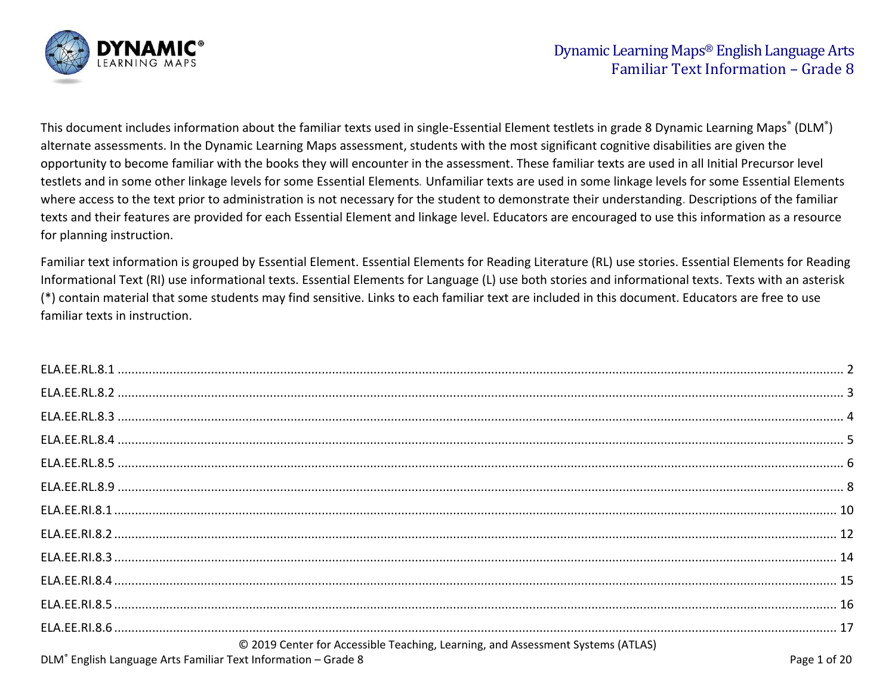

This document includes information about the familiar texts used in single-Essential Element testlets in grade 8 Dynamic Learning Maps<sup>®</sup> (DLM<sup>®</sup>) alternate assessments. In the Dynamic Learning Maps assessment, students with the most significant cognitive disabilities are given the opportunity to become familiar with the books they will encounter in the assessment. These familiar texts are used in all Initial Precursor level testlets and in some other linkage levels for some Essential Elements*.* Unfamiliar texts are used in some linkage levels for some Essential Elements where access to the text prior to administration is not necessary for the student to demonstrate their understanding. Descriptions of the familiar texts and their features are provided for each Essential Element and linkage level. Educators are encouraged to use this information as a resource for planning instruction.

Familiar text information is grouped by Essential Element. Essential Elements for Reading Literature (RL) use stories. Essential Elements for Reading Informational Text (RI) use informational texts. Essential Elements for Language (L) use both stories and informational texts. Texts with an asterisk (\*) contain material that some students may find sensitive. Links to each familiar text are included in this document. Educators are free to use familiar texts in instruction.

| © 2019 Center for Accessible Teaching, Learning, and Assessment Systems (ATLAS) |              |
|---------------------------------------------------------------------------------|--------------|
| DLM <sup>®</sup> English Language Arts Familiar Text Information - Grade 8      | Page 1 of 20 |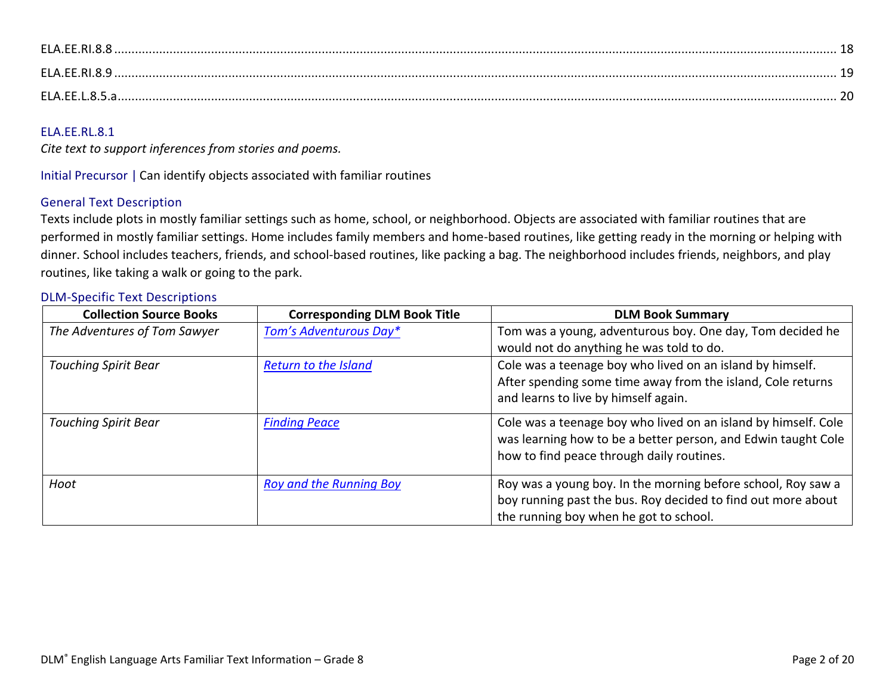| ELA.EE.RI.8. |  |
|--------------|--|
| ELA.EE.RI.8. |  |
| $FI$ AFFIR5  |  |

<span id="page-1-0"></span>*Cite text to support inferences from stories and poems.*

Initial Precursor | Can identify objects associated with familiar routines

# General Text Description

Texts include plots in mostly familiar settings such as home, school, or neighborhood. Objects are associated with familiar routines that are performed in mostly familiar settings. Home includes family members and home-based routines, like getting ready in the morning or helping with dinner. School includes teachers, friends, and school-based routines, like packing a bag. The neighborhood includes friends, neighbors, and play routines, like taking a walk or going to the park.

| <b>Collection Source Books</b> | <b>Corresponding DLM Book Title</b> | <b>DLM Book Summary</b>                                        |
|--------------------------------|-------------------------------------|----------------------------------------------------------------|
| The Adventures of Tom Sawyer   | Tom's Adventurous Day*              | Tom was a young, adventurous boy. One day, Tom decided he      |
|                                |                                     | would not do anything he was told to do.                       |
| <b>Touching Spirit Bear</b>    | <b>Return to the Island</b>         | Cole was a teenage boy who lived on an island by himself.      |
|                                |                                     | After spending some time away from the island, Cole returns    |
|                                |                                     | and learns to live by himself again.                           |
| <b>Touching Spirit Bear</b>    | <b>Finding Peace</b>                | Cole was a teenage boy who lived on an island by himself. Cole |
|                                |                                     | was learning how to be a better person, and Edwin taught Cole  |
|                                |                                     | how to find peace through daily routines.                      |
| Hoot                           | <b>Roy and the Running Boy</b>      | Roy was a young boy. In the morning before school, Roy saw a   |
|                                |                                     | boy running past the bus. Roy decided to find out more about   |
|                                |                                     | the running boy when he got to school.                         |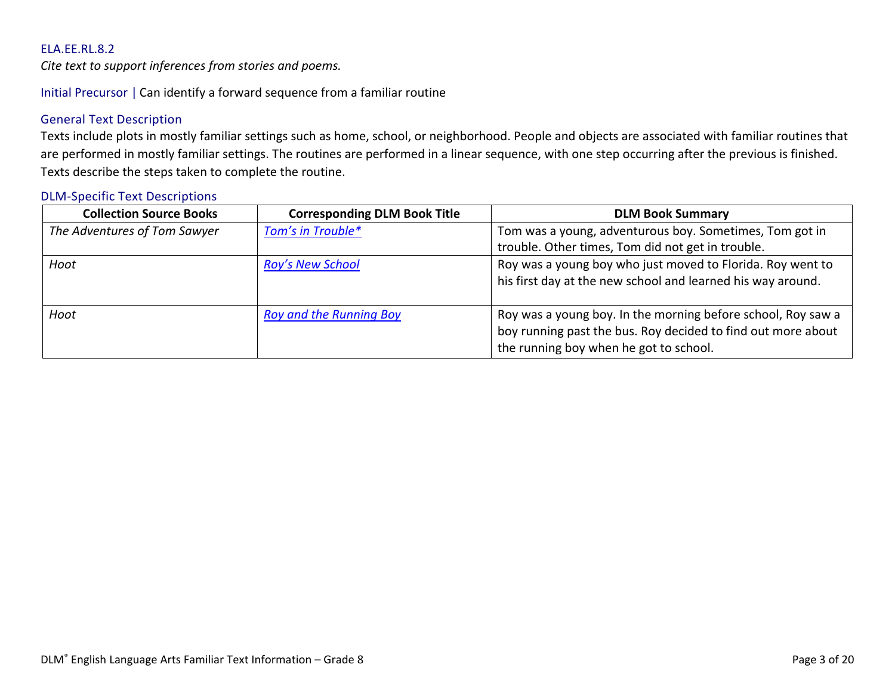<span id="page-2-0"></span>*Cite text to support inferences from stories and poems.*

Initial Precursor | Can identify a forward sequence from a familiar routine

# General Text Description

Texts include plots in mostly familiar settings such as home, school, or neighborhood. People and objects are associated with familiar routines that are performed in mostly familiar settings. The routines are performed in a linear sequence, with one step occurring after the previous is finished. Texts describe the steps taken to complete the routine.

| <b>Collection Source Books</b> | <b>Corresponding DLM Book Title</b> | <b>DLM Book Summary</b>                                                                                                   |
|--------------------------------|-------------------------------------|---------------------------------------------------------------------------------------------------------------------------|
| The Adventures of Tom Sawyer   | Tom's in Trouble*                   | Tom was a young, adventurous boy. Sometimes, Tom got in                                                                   |
|                                |                                     | trouble. Other times, Tom did not get in trouble.                                                                         |
| Hoot                           | <b>Roy's New School</b>             | Roy was a young boy who just moved to Florida. Roy went to<br>his first day at the new school and learned his way around. |
|                                |                                     |                                                                                                                           |
| Hoot                           | <b>Roy and the Running Boy</b>      | Roy was a young boy. In the morning before school, Roy saw a                                                              |
|                                |                                     | boy running past the bus. Roy decided to find out more about                                                              |
|                                |                                     | the running boy when he got to school.                                                                                    |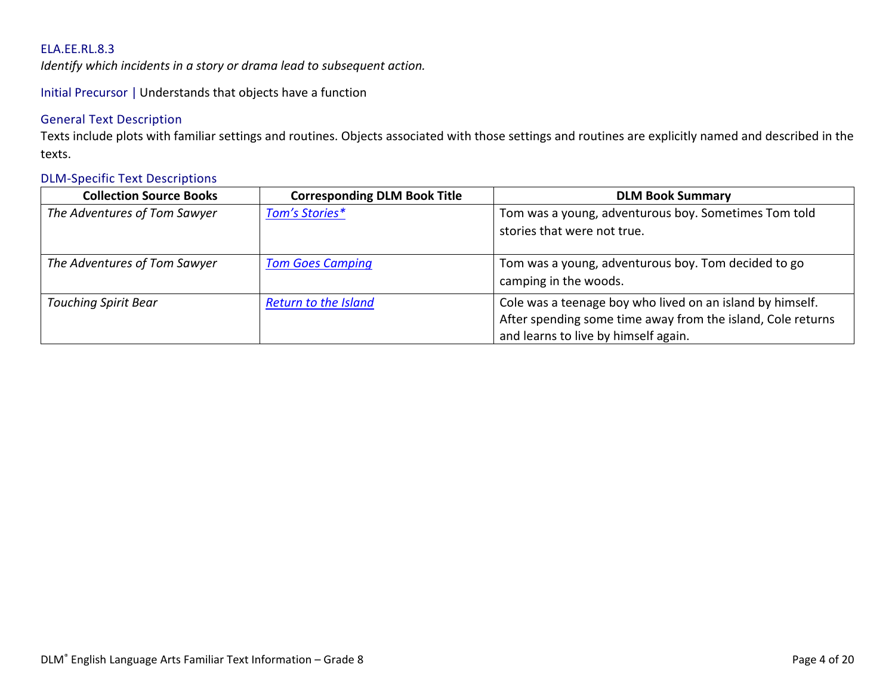<span id="page-3-0"></span>*Identify which incidents in a story or drama lead to subsequent action.*

Initial Precursor | Understands that objects have a function

# General Text Description

Texts include plots with familiar settings and routines. Objects associated with those settings and routines are explicitly named and described in the texts.

| <b>Collection Source Books</b> | <b>Corresponding DLM Book Title</b> | <b>DLM Book Summary</b>                                                                                                                                          |
|--------------------------------|-------------------------------------|------------------------------------------------------------------------------------------------------------------------------------------------------------------|
| The Adventures of Tom Sawyer   | Tom's Stories*                      | Tom was a young, adventurous boy. Sometimes Tom told<br>stories that were not true.                                                                              |
| The Adventures of Tom Sawyer   | <b>Tom Goes Camping</b>             | Tom was a young, adventurous boy. Tom decided to go<br>camping in the woods.                                                                                     |
| <b>Touching Spirit Bear</b>    | <b>Return to the Island</b>         | Cole was a teenage boy who lived on an island by himself.<br>After spending some time away from the island, Cole returns<br>and learns to live by himself again. |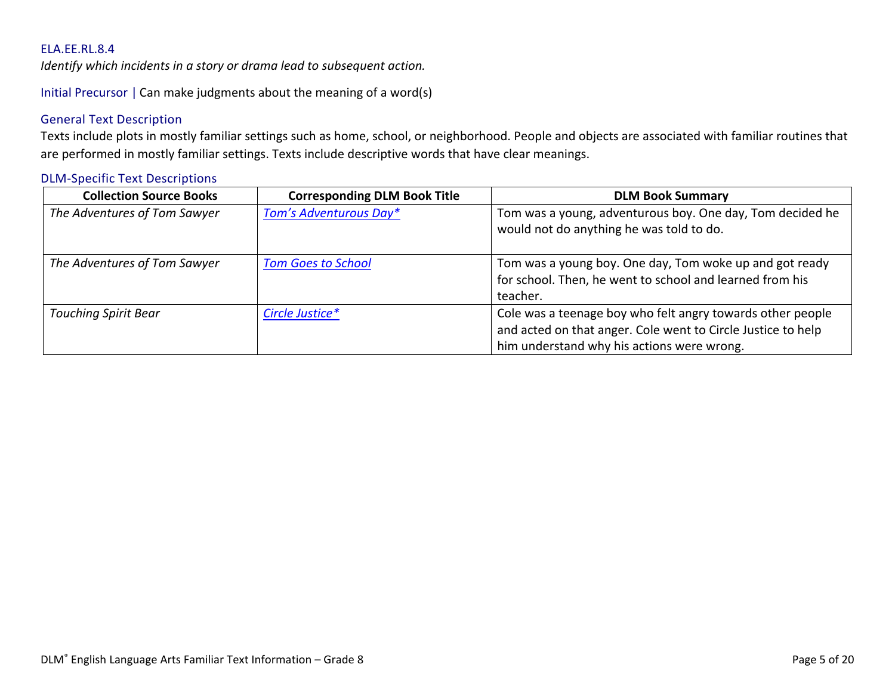<span id="page-4-0"></span>*Identify which incidents in a story or drama lead to subsequent action.*

Initial Precursor | Can make judgments about the meaning of a word(s)

# General Text Description

Texts include plots in mostly familiar settings such as home, school, or neighborhood. People and objects are associated with familiar routines that are performed in mostly familiar settings. Texts include descriptive words that have clear meanings.

| <b>Collection Source Books</b> | <b>Corresponding DLM Book Title</b> | <b>DLM Book Summary</b>                                                                                                                                                  |
|--------------------------------|-------------------------------------|--------------------------------------------------------------------------------------------------------------------------------------------------------------------------|
| The Adventures of Tom Sawyer   | Tom's Adventurous Day*              | Tom was a young, adventurous boy. One day, Tom decided he<br>would not do anything he was told to do.                                                                    |
| The Adventures of Tom Sawyer   | <b>Tom Goes to School</b>           | Tom was a young boy. One day, Tom woke up and got ready<br>for school. Then, he went to school and learned from his<br>teacher.                                          |
| <b>Touching Spirit Bear</b>    | Circle Justice*                     | Cole was a teenage boy who felt angry towards other people<br>and acted on that anger. Cole went to Circle Justice to help<br>him understand why his actions were wrong. |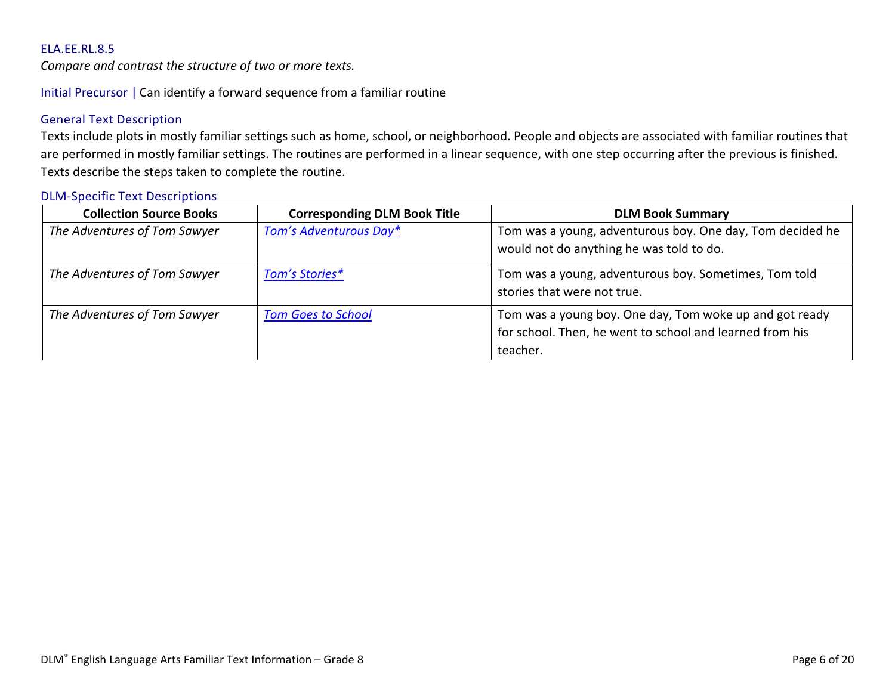<span id="page-5-0"></span>*Compare and contrast the structure of two or more texts.*

Initial Precursor | Can identify a forward sequence from a familiar routine

# General Text Description

Texts include plots in mostly familiar settings such as home, school, or neighborhood. People and objects are associated with familiar routines that are performed in mostly familiar settings. The routines are performed in a linear sequence, with one step occurring after the previous is finished. Texts describe the steps taken to complete the routine.

| <b>Collection Source Books</b> | <b>Corresponding DLM Book Title</b> | <b>DLM Book Summary</b>                                                                                                         |
|--------------------------------|-------------------------------------|---------------------------------------------------------------------------------------------------------------------------------|
| The Adventures of Tom Sawyer   | Tom's Adventurous Day*              | Tom was a young, adventurous boy. One day, Tom decided he<br>would not do anything he was told to do.                           |
| The Adventures of Tom Sawyer   | Tom's Stories*                      | Tom was a young, adventurous boy. Sometimes, Tom told<br>stories that were not true.                                            |
| The Adventures of Tom Sawyer   | <b>Tom Goes to School</b>           | Tom was a young boy. One day, Tom woke up and got ready<br>for school. Then, he went to school and learned from his<br>teacher. |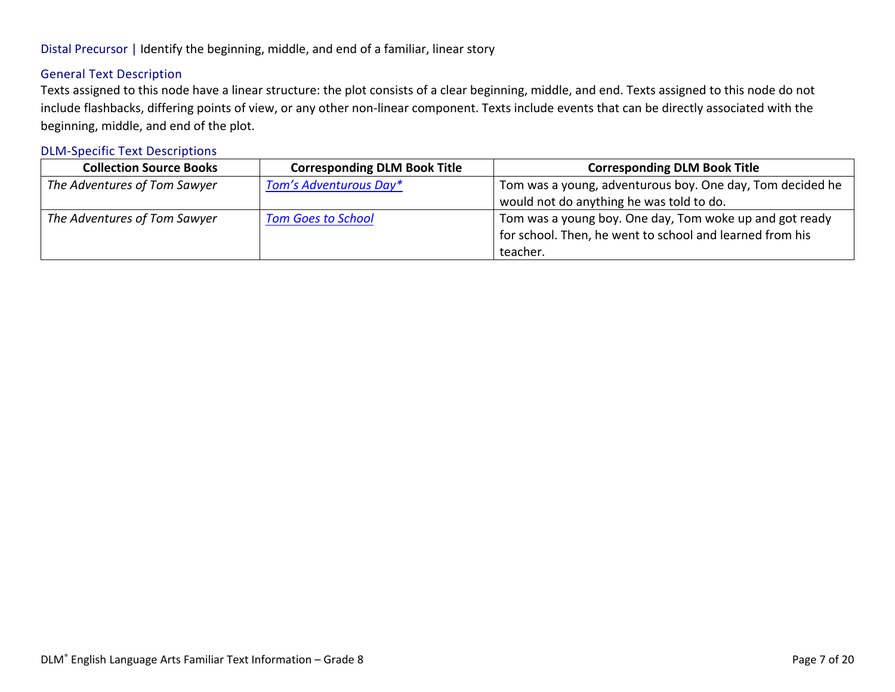# General Text Description

Texts assigned to this node have a linear structure: the plot consists of a clear beginning, middle, and end. Texts assigned to this node do not include flashbacks, differing points of view, or any other non-linear component. Texts include events that can be directly associated with the beginning, middle, and end of the plot.

| <b>Collection Source Books</b> | <b>Corresponding DLM Book Title</b> | <b>Corresponding DLM Book Title</b>                       |
|--------------------------------|-------------------------------------|-----------------------------------------------------------|
| The Adventures of Tom Sawyer   | Tom's Adventurous Day*              | Tom was a young, adventurous boy. One day, Tom decided he |
|                                |                                     | would not do anything he was told to do.                  |
| The Adventures of Tom Sawyer   | <b>Tom Goes to School</b>           | Tom was a young boy. One day, Tom woke up and got ready   |
|                                |                                     | for school. Then, he went to school and learned from his  |
|                                |                                     | teacher.                                                  |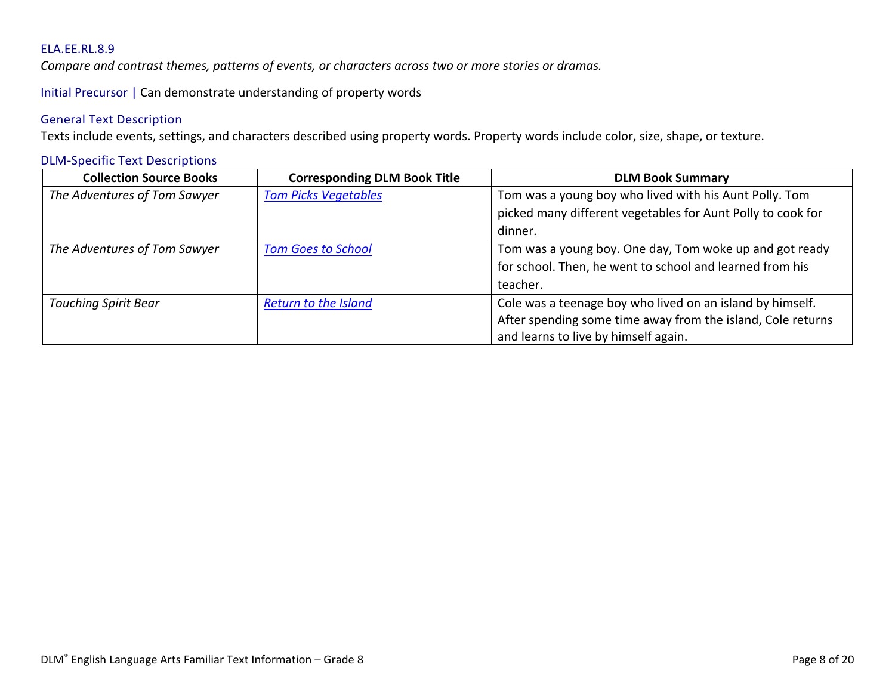<span id="page-7-0"></span>*Compare and contrast themes, patterns of events, or characters across two or more stories or dramas.*

Initial Precursor | Can demonstrate understanding of property words

### General Text Description

Texts include events, settings, and characters described using property words. Property words include color, size, shape, or texture.

| <b>Collection Source Books</b> | <b>Corresponding DLM Book Title</b> | <b>DLM Book Summary</b>                                     |
|--------------------------------|-------------------------------------|-------------------------------------------------------------|
| The Adventures of Tom Sawyer   | <b>Tom Picks Vegetables</b>         | Tom was a young boy who lived with his Aunt Polly. Tom      |
|                                |                                     | picked many different vegetables for Aunt Polly to cook for |
|                                |                                     | dinner.                                                     |
| The Adventures of Tom Sawyer   | <b>Tom Goes to School</b>           | Tom was a young boy. One day, Tom woke up and got ready     |
|                                |                                     | for school. Then, he went to school and learned from his    |
|                                |                                     | teacher.                                                    |
| <b>Touching Spirit Bear</b>    | <b>Return to the Island</b>         | Cole was a teenage boy who lived on an island by himself.   |
|                                |                                     | After spending some time away from the island, Cole returns |
|                                |                                     | and learns to live by himself again.                        |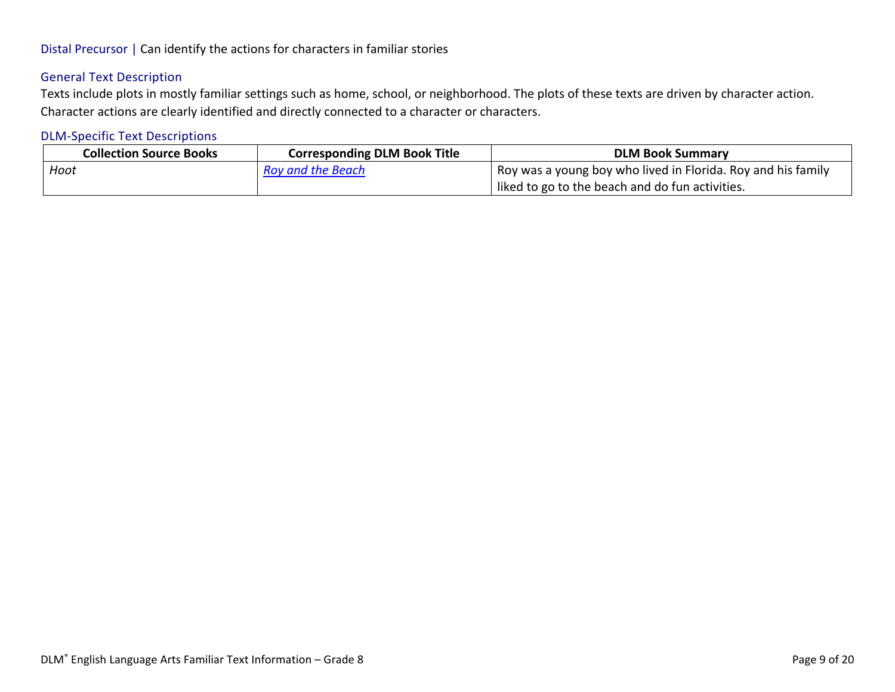# Distal Precursor | Can identify the actions for characters in familiar stories

# General Text Description

Texts include plots in mostly familiar settings such as home, school, or neighborhood. The plots of these texts are driven by character action. Character actions are clearly identified and directly connected to a character or characters.

| <b>Collection Source Books</b> | <b>Corresponding DLM Book Title</b> | <b>DLM Book Summary</b>                                        |
|--------------------------------|-------------------------------------|----------------------------------------------------------------|
| Hoot                           | <b>Roy and the Beach</b>            | I Roy was a young boy who lived in Florida. Roy and his family |
|                                |                                     | liked to go to the beach and do fun activities.                |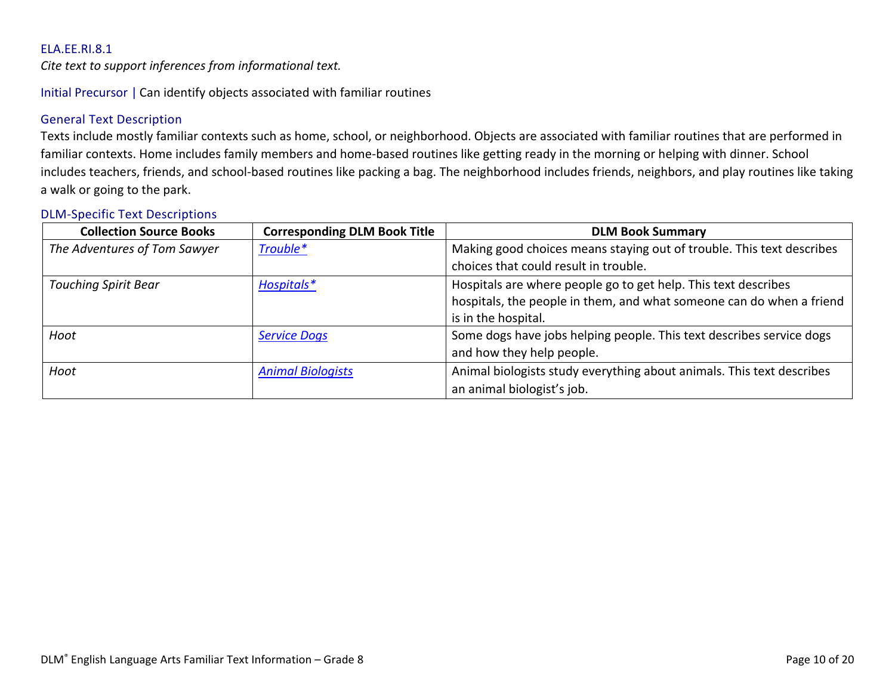<span id="page-9-0"></span>*Cite text to support inferences from informational text.*

Initial Precursor | Can identify objects associated with familiar routines

# General Text Description

Texts include mostly familiar contexts such as home, school, or neighborhood. Objects are associated with familiar routines that are performed in familiar contexts. Home includes family members and home-based routines like getting ready in the morning or helping with dinner. School includes teachers, friends, and school-based routines like packing a bag. The neighborhood includes friends, neighbors, and play routines like taking a walk or going to the park.

| <b>Collection Source Books</b> | <b>Corresponding DLM Book Title</b> | <b>DLM Book Summary</b>                                               |
|--------------------------------|-------------------------------------|-----------------------------------------------------------------------|
| The Adventures of Tom Sawyer   | Trouble*                            | Making good choices means staying out of trouble. This text describes |
|                                |                                     | choices that could result in trouble.                                 |
| <b>Touching Spirit Bear</b>    | Hospitals*                          | Hospitals are where people go to get help. This text describes        |
|                                |                                     | hospitals, the people in them, and what someone can do when a friend  |
|                                |                                     | is in the hospital.                                                   |
| Hoot                           | <b>Service Dogs</b>                 | Some dogs have jobs helping people. This text describes service dogs  |
|                                |                                     | and how they help people.                                             |
| Hoot                           | <b>Animal Biologists</b>            | Animal biologists study everything about animals. This text describes |
|                                |                                     | an animal biologist's job.                                            |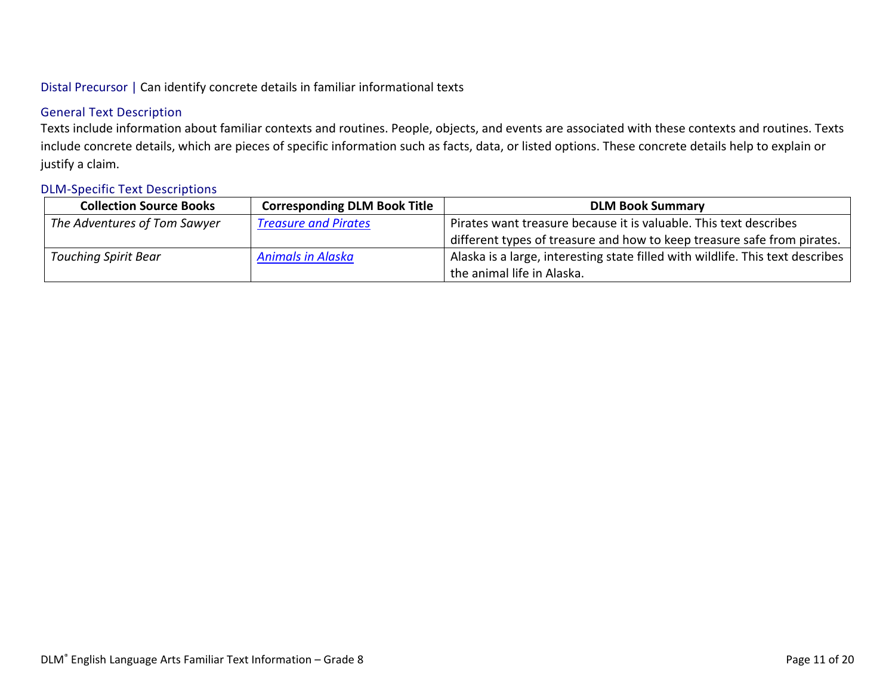# Distal Precursor | Can identify concrete details in familiar informational texts

# General Text Description

Texts include information about familiar contexts and routines. People, objects, and events are associated with these contexts and routines. Texts include concrete details, which are pieces of specific information such as facts, data, or listed options. These concrete details help to explain or justify a claim.

| <b>Collection Source Books</b> | <b>Corresponding DLM Book Title</b> | <b>DLM Book Summary</b>                                                        |
|--------------------------------|-------------------------------------|--------------------------------------------------------------------------------|
| The Adventures of Tom Sawyer   | <b>Treasure and Pirates</b>         | Pirates want treasure because it is valuable. This text describes              |
|                                |                                     | different types of treasure and how to keep treasure safe from pirates.        |
| <b>Touching Spirit Bear</b>    | <b>Animals in Alaska</b>            | Alaska is a large, interesting state filled with wildlife. This text describes |
|                                |                                     | the animal life in Alaska.                                                     |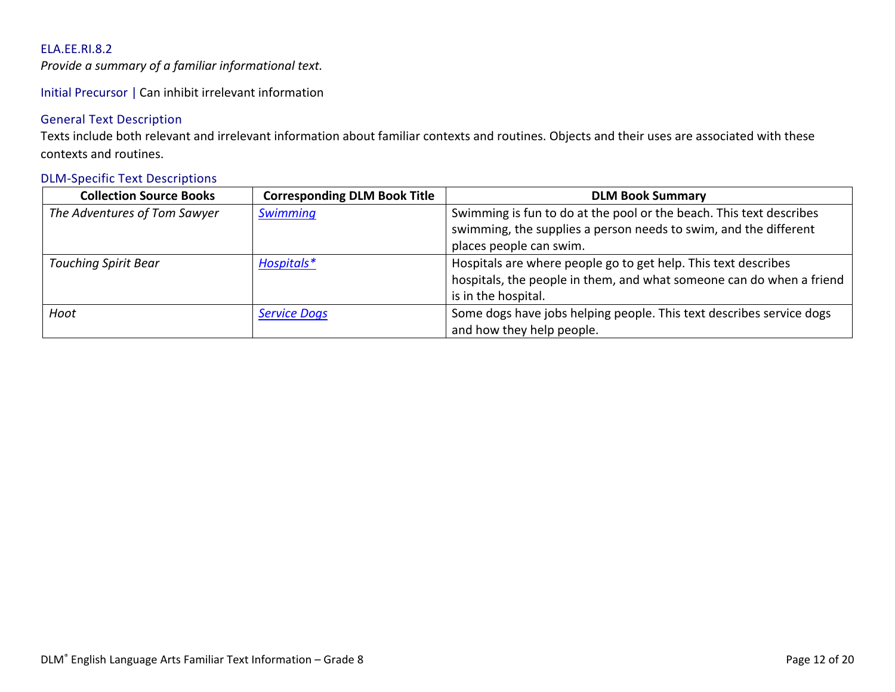<span id="page-11-0"></span>*Provide a summary of a familiar informational text.*

Initial Precursor | Can inhibit irrelevant information

# General Text Description

Texts include both relevant and irrelevant information about familiar contexts and routines. Objects and their uses are associated with these contexts and routines.

| <b>Collection Source Books</b> | <b>Corresponding DLM Book Title</b> | <b>DLM Book Summary</b>                                              |
|--------------------------------|-------------------------------------|----------------------------------------------------------------------|
| The Adventures of Tom Sawyer   | Swimming                            | Swimming is fun to do at the pool or the beach. This text describes  |
|                                |                                     | swimming, the supplies a person needs to swim, and the different     |
|                                |                                     | places people can swim.                                              |
| <b>Touching Spirit Bear</b>    | Hospitals*                          | Hospitals are where people go to get help. This text describes       |
|                                |                                     | hospitals, the people in them, and what someone can do when a friend |
|                                |                                     | is in the hospital.                                                  |
| Hoot                           | <b>Service Dogs</b>                 | Some dogs have jobs helping people. This text describes service dogs |
|                                |                                     | and how they help people.                                            |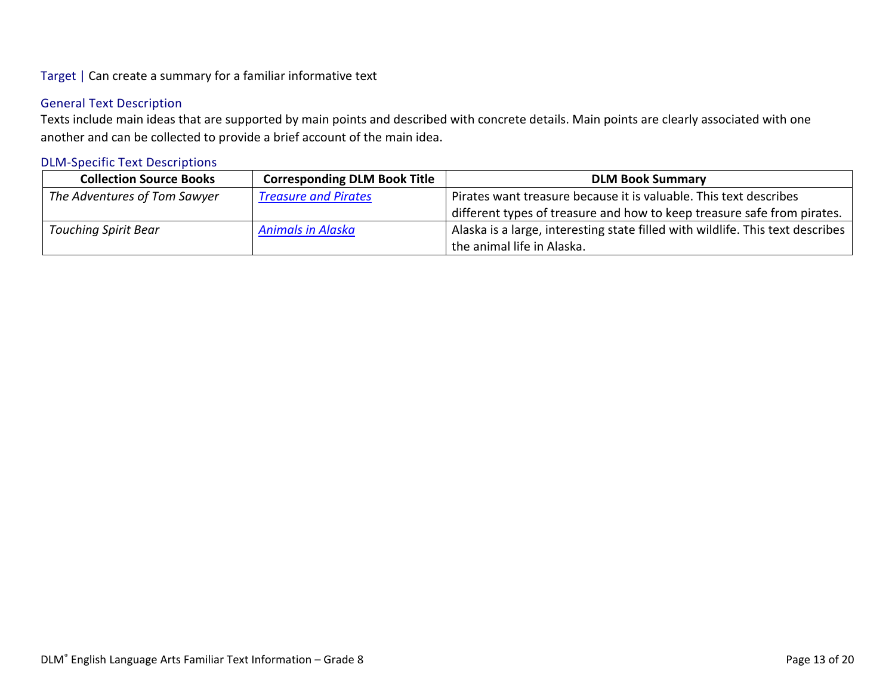# Target | Can create a summary for a familiar informative text

# General Text Description

Texts include main ideas that are supported by main points and described with concrete details. Main points are clearly associated with one another and can be collected to provide a brief account of the main idea.

| <b>Collection Source Books</b> | <b>Corresponding DLM Book Title</b> | <b>DLM Book Summary</b>                                                        |
|--------------------------------|-------------------------------------|--------------------------------------------------------------------------------|
| The Adventures of Tom Sawyer   | <b>Treasure and Pirates</b>         | Pirates want treasure because it is valuable. This text describes              |
|                                |                                     | different types of treasure and how to keep treasure safe from pirates.        |
| <b>Touching Spirit Bear</b>    | <b>Animals in Alaska</b>            | Alaska is a large, interesting state filled with wildlife. This text describes |
|                                |                                     | the animal life in Alaska.                                                     |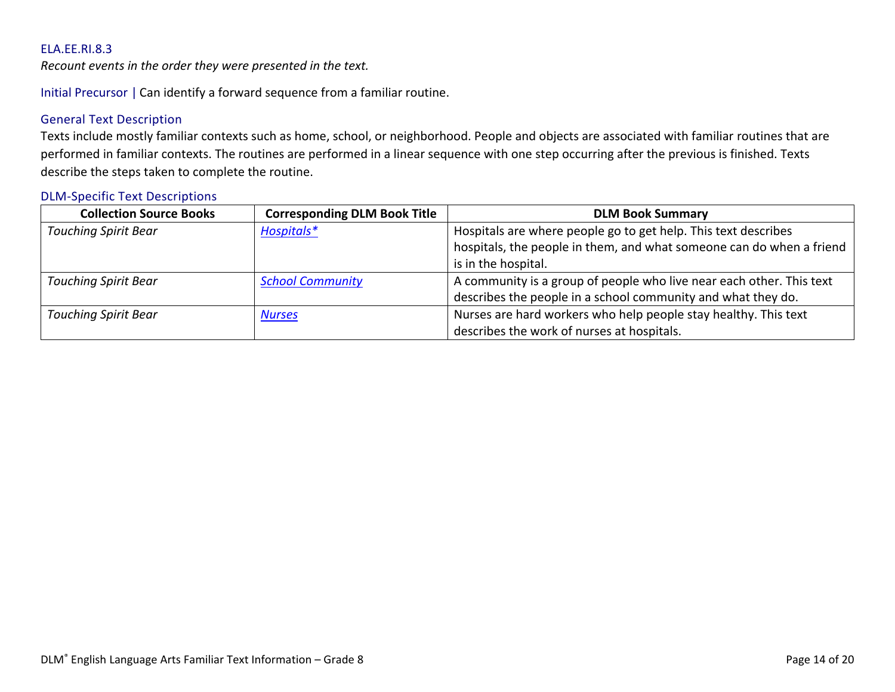<span id="page-13-0"></span>*Recount events in the order they were presented in the text.*

Initial Precursor | Can identify a forward sequence from a familiar routine.

# General Text Description

Texts include mostly familiar contexts such as home, school, or neighborhood. People and objects are associated with familiar routines that are performed in familiar contexts. The routines are performed in a linear sequence with one step occurring after the previous is finished. Texts describe the steps taken to complete the routine.

| <b>Collection Source Books</b> | <b>Corresponding DLM Book Title</b> | <b>DLM Book Summary</b>                                              |
|--------------------------------|-------------------------------------|----------------------------------------------------------------------|
| <b>Touching Spirit Bear</b>    | Hospitals*                          | Hospitals are where people go to get help. This text describes       |
|                                |                                     | hospitals, the people in them, and what someone can do when a friend |
|                                |                                     | is in the hospital.                                                  |
| <b>Touching Spirit Bear</b>    | <b>School Community</b>             | A community is a group of people who live near each other. This text |
|                                |                                     | describes the people in a school community and what they do.         |
| <b>Touching Spirit Bear</b>    | <b>Nurses</b>                       | Nurses are hard workers who help people stay healthy. This text      |
|                                |                                     | describes the work of nurses at hospitals.                           |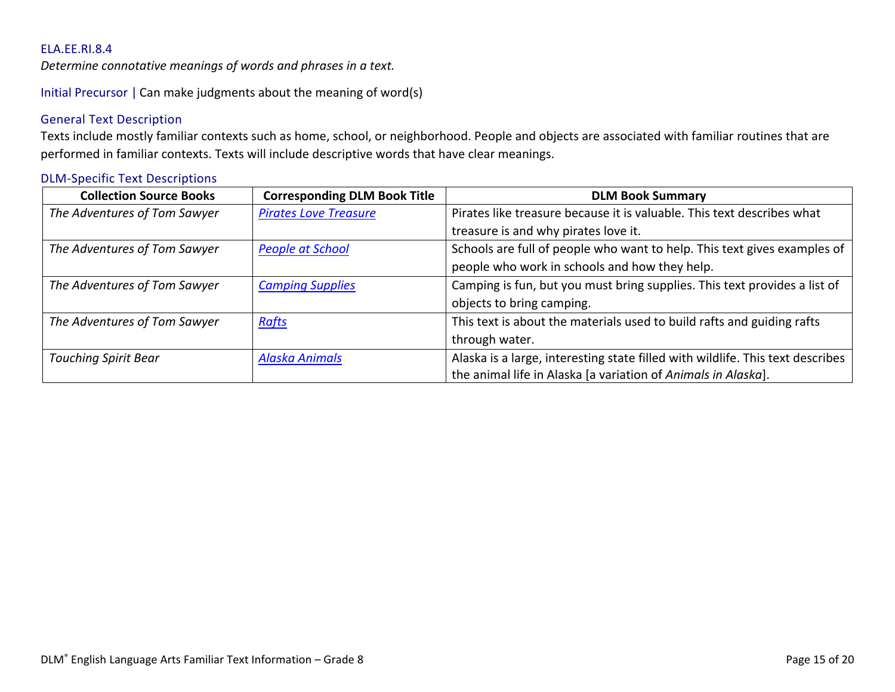<span id="page-14-0"></span>*Determine connotative meanings of words and phrases in a text.*

Initial Precursor | Can make judgments about the meaning of word(s)

# General Text Description

Texts include mostly familiar contexts such as home, school, or neighborhood. People and objects are associated with familiar routines that are performed in familiar contexts. Texts will include descriptive words that have clear meanings.

| <b>Collection Source Books</b> | <b>Corresponding DLM Book Title</b> | <b>DLM Book Summary</b>                                                        |
|--------------------------------|-------------------------------------|--------------------------------------------------------------------------------|
| The Adventures of Tom Sawyer   | <b>Pirates Love Treasure</b>        | Pirates like treasure because it is valuable. This text describes what         |
|                                |                                     | treasure is and why pirates love it.                                           |
| The Adventures of Tom Sawyer   | <b>People at School</b>             | Schools are full of people who want to help. This text gives examples of       |
|                                |                                     | people who work in schools and how they help.                                  |
| The Adventures of Tom Sawyer   | <b>Camping Supplies</b>             | Camping is fun, but you must bring supplies. This text provides a list of      |
|                                |                                     | objects to bring camping.                                                      |
| The Adventures of Tom Sawyer   | <b>Rafts</b>                        | This text is about the materials used to build rafts and guiding rafts         |
|                                |                                     | through water.                                                                 |
| <b>Touching Spirit Bear</b>    | <b>Alaska Animals</b>               | Alaska is a large, interesting state filled with wildlife. This text describes |
|                                |                                     | the animal life in Alaska [a variation of Animals in Alaska].                  |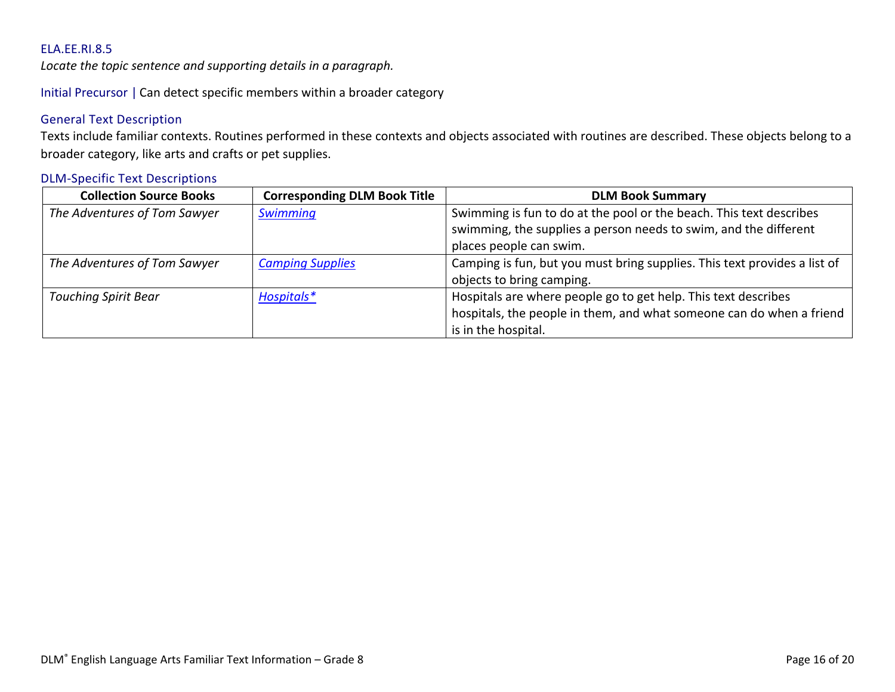<span id="page-15-0"></span>*Locate the topic sentence and supporting details in a paragraph.*

Initial Precursor | Can detect specific members within a broader category

# General Text Description

Texts include familiar contexts. Routines performed in these contexts and objects associated with routines are described. These objects belong to a broader category, like arts and crafts or pet supplies.

| <b>Collection Source Books</b> | <b>Corresponding DLM Book Title</b> | <b>DLM Book Summary</b>                                                   |
|--------------------------------|-------------------------------------|---------------------------------------------------------------------------|
| The Adventures of Tom Sawyer   | <b>Swimming</b>                     | Swimming is fun to do at the pool or the beach. This text describes       |
|                                |                                     | swimming, the supplies a person needs to swim, and the different          |
|                                |                                     | places people can swim.                                                   |
| The Adventures of Tom Sawyer   | <b>Camping Supplies</b>             | Camping is fun, but you must bring supplies. This text provides a list of |
|                                |                                     | objects to bring camping.                                                 |
| <b>Touching Spirit Bear</b>    | Hospitals*                          | Hospitals are where people go to get help. This text describes            |
|                                |                                     | hospitals, the people in them, and what someone can do when a friend      |
|                                |                                     | is in the hospital.                                                       |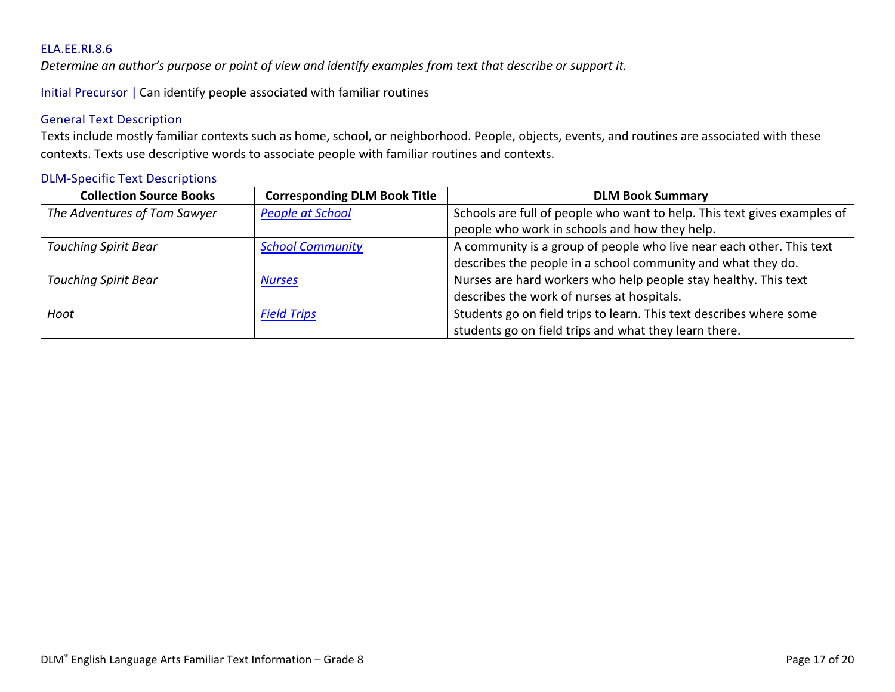<span id="page-16-0"></span>*Determine an author's purpose or point of view and identify examples from text that describe or support it.* 

Initial Precursor | Can identify people associated with familiar routines

# General Text Description

Texts include mostly familiar contexts such as home, school, or neighborhood. People, objects, events, and routines are associated with these contexts. Texts use descriptive words to associate people with familiar routines and contexts.

| <b>Collection Source Books</b> | <b>Corresponding DLM Book Title</b> | <b>DLM Book Summary</b>                                                  |
|--------------------------------|-------------------------------------|--------------------------------------------------------------------------|
| The Adventures of Tom Sawyer   | <b>People at School</b>             | Schools are full of people who want to help. This text gives examples of |
|                                |                                     | people who work in schools and how they help.                            |
| <b>Touching Spirit Bear</b>    | <b>School Community</b>             | A community is a group of people who live near each other. This text     |
|                                |                                     | describes the people in a school community and what they do.             |
| <b>Touching Spirit Bear</b>    | <b>Nurses</b>                       | Nurses are hard workers who help people stay healthy. This text          |
|                                |                                     | describes the work of nurses at hospitals.                               |
| Hoot                           | <b>Field Trips</b>                  | Students go on field trips to learn. This text describes where some      |
|                                |                                     | students go on field trips and what they learn there.                    |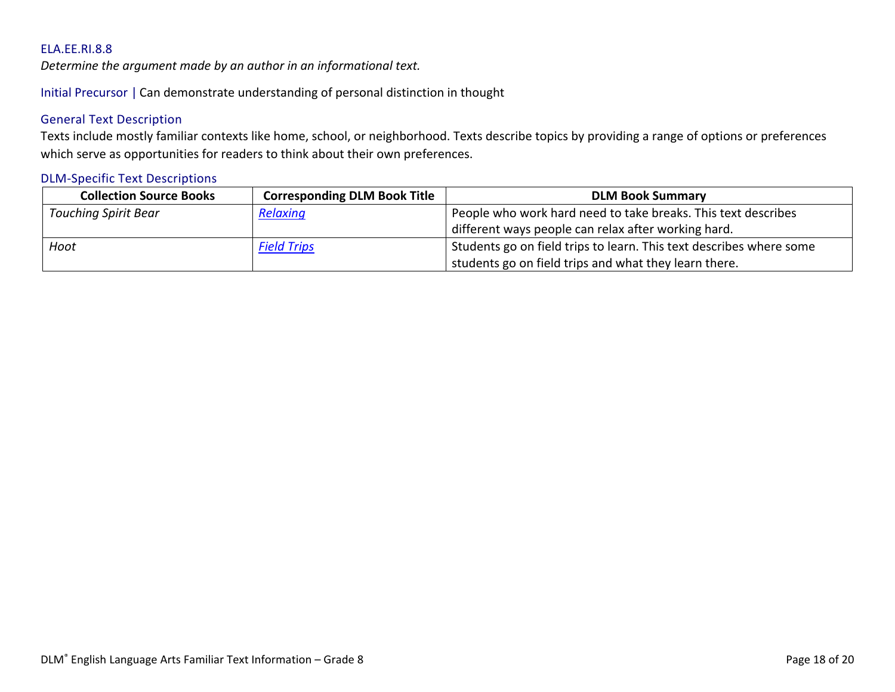<span id="page-17-0"></span>*Determine the argument made by an author in an informational text.*

Initial Precursor | Can demonstrate understanding of personal distinction in thought

# General Text Description

Texts include mostly familiar contexts like home, school, or neighborhood. Texts describe topics by providing a range of options or preferences which serve as opportunities for readers to think about their own preferences.

| <b>Collection Source Books</b> | <b>Corresponding DLM Book Title</b> | <b>DLM Book Summary</b>                                             |
|--------------------------------|-------------------------------------|---------------------------------------------------------------------|
| <b>Touching Spirit Bear</b>    | Relaxing                            | People who work hard need to take breaks. This text describes       |
|                                |                                     | different ways people can relax after working hard.                 |
| Hoot                           | <b>Field Trips</b>                  | Students go on field trips to learn. This text describes where some |
|                                |                                     | students go on field trips and what they learn there.               |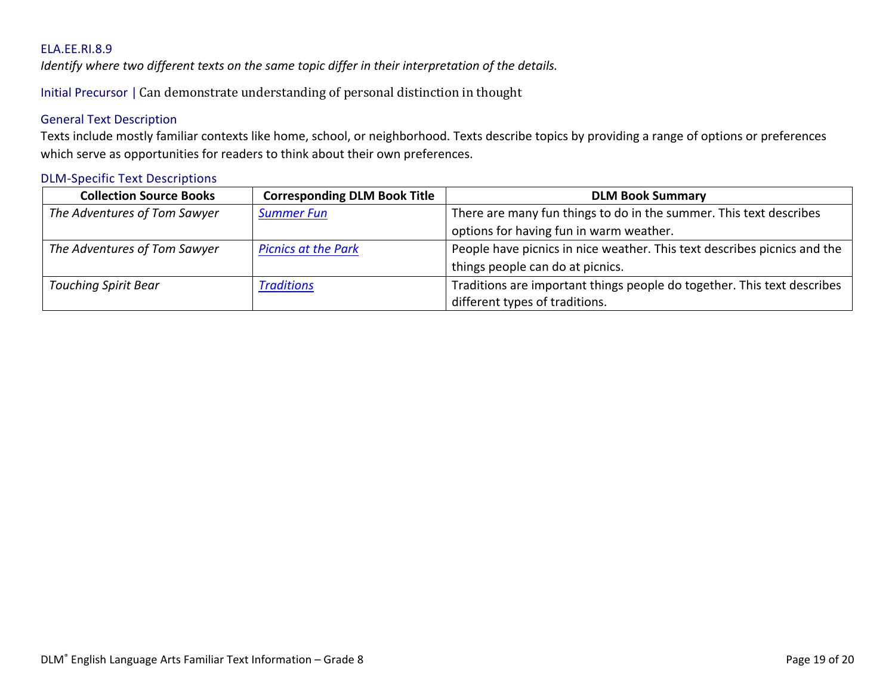<span id="page-18-0"></span>*Identify where two different texts on the same topic differ in their interpretation of the details.*

Initial Precursor | Can demonstrate understanding of personal distinction in thought

# General Text Description

Texts include mostly familiar contexts like home, school, or neighborhood. Texts describe topics by providing a range of options or preferences which serve as opportunities for readers to think about their own preferences.

| <b>Collection Source Books</b> | <b>Corresponding DLM Book Title</b> | <b>DLM Book Summary</b>                                                  |
|--------------------------------|-------------------------------------|--------------------------------------------------------------------------|
| The Adventures of Tom Sawyer   | <b>Summer Fun</b>                   | There are many fun things to do in the summer. This text describes       |
|                                |                                     | options for having fun in warm weather.                                  |
| The Adventures of Tom Sawyer   | <b>Picnics at the Park</b>          | People have picnics in nice weather. This text describes picnics and the |
|                                |                                     | things people can do at picnics.                                         |
| <b>Touching Spirit Bear</b>    | <b>Traditions</b>                   | Traditions are important things people do together. This text describes  |
|                                |                                     | different types of traditions.                                           |